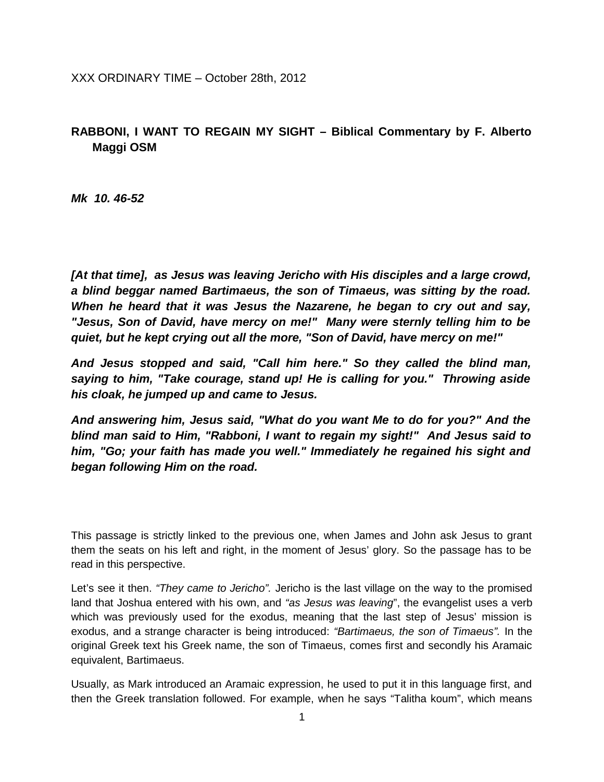XXX ORDINARY TIME – October 28th, 2012

## **RABBONI, I WANT TO REGAIN MY SIGHT – Biblical Commentary by F. Alberto Maggi OSM**

*Mk 10. 46-52*

*[At that time], as Jesus was leaving Jericho with His disciples and a large crowd, a blind beggar named Bartimaeus, the son of Timaeus, was sitting by the road. When he heard that it was Jesus the Nazarene, he began to cry out and say, "Jesus, Son of David, have mercy on me!" Many were sternly telling him to be quiet, but he kept crying out all the more, "Son of David, have mercy on me!"* 

*And Jesus stopped and said, "Call him here." So they called the blind man, saying to him, "Take courage, stand up! He is calling for you." Throwing aside his cloak, he jumped up and came to Jesus.* 

*And answering him, Jesus said, "What do you want Me to do for you?" And the blind man said to Him, "Rabboni, I want to regain my sight!" And Jesus said to him, "Go; your faith has made you well." Immediately he regained his sight and began following Him on the road.*

This passage is strictly linked to the previous one, when James and John ask Jesus to grant them the seats on his left and right, in the moment of Jesus' glory. So the passage has to be read in this perspective.

Let's see it then. *"They came to Jericho".* Jericho is the last village on the way to the promised land that Joshua entered with his own, and *"as Jesus was leaving*", the evangelist uses a verb which was previously used for the exodus, meaning that the last step of Jesus' mission is exodus, and a strange character is being introduced: *"Bartimaeus, the son of Timaeus".* In the original Greek text his Greek name, the son of Timaeus, comes first and secondly his Aramaic equivalent, Bartimaeus.

Usually, as Mark introduced an Aramaic expression, he used to put it in this language first, and then the Greek translation followed. For example, when he says "Talitha koum", which means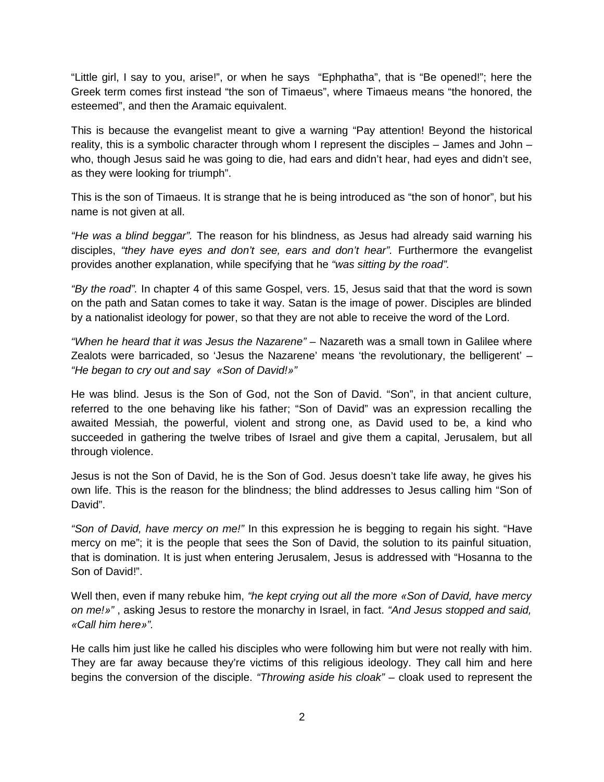"Little girl, I say to you, arise!", or when he says "Ephphatha", that is "Be opened!"; here the Greek term comes first instead "the son of Timaeus", where Timaeus means "the honored, the esteemed", and then the Aramaic equivalent.

This is because the evangelist meant to give a warning "Pay attention! Beyond the historical reality, this is a symbolic character through whom I represent the disciples – James and John – who, though Jesus said he was going to die, had ears and didn't hear, had eyes and didn't see, as they were looking for triumph".

This is the son of Timaeus. It is strange that he is being introduced as "the son of honor", but his name is not given at all.

*"He was a blind beggar".* The reason for his blindness, as Jesus had already said warning his disciples, *"they have eyes and don't see, ears and don't hear".* Furthermore the evangelist provides another explanation, while specifying that he *"was sitting by the road".*

*"By the road".* In chapter 4 of this same Gospel, vers. 15, Jesus said that that the word is sown on the path and Satan comes to take it way. Satan is the image of power. Disciples are blinded by a nationalist ideology for power, so that they are not able to receive the word of the Lord.

*"When he heard that it was Jesus the Nazarene" –* Nazareth was a small town in Galilee where Zealots were barricaded, so 'Jesus the Nazarene' means 'the revolutionary, the belligerent' – *"He began to cry out and say «Son of David!»"* 

He was blind. Jesus is the Son of God, not the Son of David. "Son", in that ancient culture, referred to the one behaving like his father; "Son of David" was an expression recalling the awaited Messiah, the powerful, violent and strong one, as David used to be, a kind who succeeded in gathering the twelve tribes of Israel and give them a capital, Jerusalem, but all through violence.

Jesus is not the Son of David, he is the Son of God. Jesus doesn't take life away, he gives his own life. This is the reason for the blindness; the blind addresses to Jesus calling him "Son of David".

*"Son of David, have mercy on me!"* In this expression he is begging to regain his sight. "Have mercy on me"; it is the people that sees the Son of David, the solution to its painful situation, that is domination. It is just when entering Jerusalem, Jesus is addressed with "Hosanna to the Son of David!".

Well then, even if many rebuke him, *"he kept crying out all the more «Son of David, have mercy on me!»"* , asking Jesus to restore the monarchy in Israel, in fact. *"And Jesus stopped and said, «Call him here»".* 

He calls him just like he called his disciples who were following him but were not really with him. They are far away because they're victims of this religious ideology. They call him and here begins the conversion of the disciple. *"Throwing aside his cloak" –* cloak used to represent the